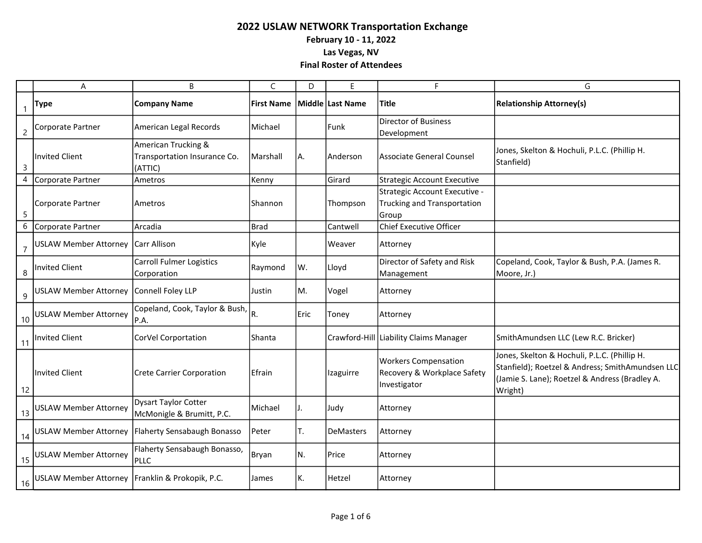|                  | Α                                                  | B                                                              | C           | D    | E.               | F.                                                                         | G                                                                                                                                                             |
|------------------|----------------------------------------------------|----------------------------------------------------------------|-------------|------|------------------|----------------------------------------------------------------------------|---------------------------------------------------------------------------------------------------------------------------------------------------------------|
| $\mathbf{1}$     | <b>Type</b>                                        | <b>Company Name</b>                                            | First Name  |      | Middle Last Name | <b>Title</b>                                                               | <b>Relationship Attorney(s)</b>                                                                                                                               |
| $\overline{c}$   | Corporate Partner                                  | American Legal Records                                         | Michael     |      | Funk             | <b>Director of Business</b><br>Development                                 |                                                                                                                                                               |
| $\overline{3}$   | <b>Invited Client</b>                              | American Trucking &<br>Transportation Insurance Co.<br>(ATTIC) | Marshall    | А.   | Anderson         | <b>Associate General Counsel</b>                                           | Jones, Skelton & Hochuli, P.L.C. (Phillip H.<br>Stanfield)                                                                                                    |
| $\overline{4}$   | Corporate Partner                                  | Ametros                                                        | Kenny       |      | Girard           | <b>Strategic Account Executive</b>                                         |                                                                                                                                                               |
| 5                | Corporate Partner                                  | Ametros                                                        | Shannon     |      | Thompson         | Strategic Account Executive -<br>Trucking and Transportation<br>Group      |                                                                                                                                                               |
| $\boldsymbol{6}$ | Corporate Partner                                  | Arcadia                                                        | <b>Brad</b> |      | Cantwell         | <b>Chief Executive Officer</b>                                             |                                                                                                                                                               |
| $\overline{7}$   | USLAW Member Attorney   Carr Allison               |                                                                | Kyle        |      | Weaver           | Attorney                                                                   |                                                                                                                                                               |
| 8                | <b>Invited Client</b>                              | <b>Carroll Fulmer Logistics</b><br>Corporation                 | Raymond     | W.   | Lloyd            | Director of Safety and Risk<br>Management                                  | Copeland, Cook, Taylor & Bush, P.A. (James R.<br>Moore, Jr.)                                                                                                  |
| 9                | <b>USLAW Member Attorney</b>                       | Connell Foley LLP                                              | Justin      | M.   | Vogel            | Attorney                                                                   |                                                                                                                                                               |
| 10               | <b>USLAW Member Attorney</b>                       | Copeland, Cook, Taylor & Bush,<br>P.A.                         | R.          | Eric | Toney            | Attorney                                                                   |                                                                                                                                                               |
| 11               | <b>Invited Client</b>                              | CorVel Corportation                                            | Shanta      |      |                  | Crawford-Hill Liability Claims Manager                                     | SmithAmundsen LLC (Lew R.C. Bricker)                                                                                                                          |
| 12               | <b>Invited Client</b>                              | Crete Carrier Corporation                                      | Efrain      |      | Izaguirre        | <b>Workers Compensation</b><br>Recovery & Workplace Safety<br>Investigator | Jones, Skelton & Hochuli, P.L.C. (Phillip H.<br>Stanfield); Roetzel & Andress; SmithAmundsen LLC<br>(Jamie S. Lane); Roetzel & Andress (Bradley A.<br>Wright) |
| 13               | <b>USLAW Member Attorney</b>                       | Dysart Taylor Cotter<br>McMonigle & Brumitt, P.C.              | Michael     | J.   | Judy             | Attorney                                                                   |                                                                                                                                                               |
|                  |                                                    | 14 USLAW Member Attorney   Flaherty Sensabaugh Bonasso         | Peter       | T.   | <b>DeMasters</b> | Attorney                                                                   |                                                                                                                                                               |
|                  | 15 USLAW Member Attorney                           | Flaherty Sensabaugh Bonasso,<br>PLLC                           | Bryan       | N.   | Price            | Attorney                                                                   |                                                                                                                                                               |
|                  | 16 USLAW Member Attorney Franklin & Prokopik, P.C. |                                                                | James       | К.   | Hetzel           | Attorney                                                                   |                                                                                                                                                               |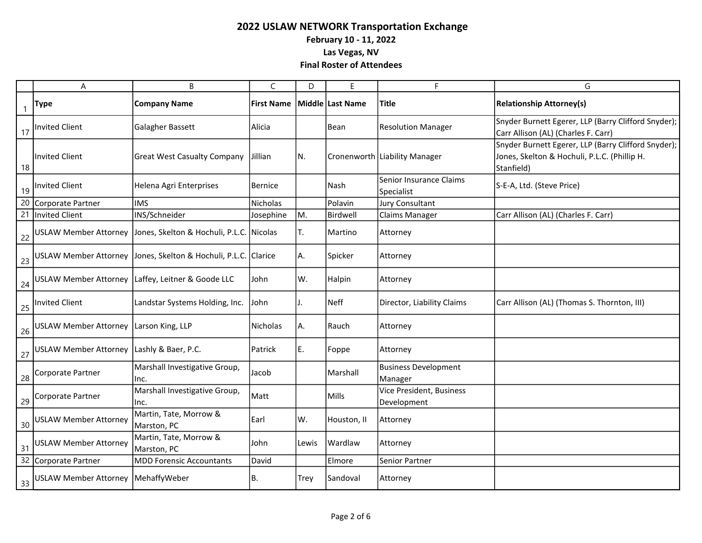|              | A                                            | B                                                                  | $\mathsf{C}$      | D           | F                | F                                       | G                                                                                                                 |
|--------------|----------------------------------------------|--------------------------------------------------------------------|-------------------|-------------|------------------|-----------------------------------------|-------------------------------------------------------------------------------------------------------------------|
| $\mathbf{1}$ | <b>Type</b>                                  | <b>Company Name</b>                                                | <b>First Name</b> |             | Middle Last Name | Title                                   | <b>Relationship Attorney(s)</b>                                                                                   |
|              | 17   Invited Client                          | Galagher Bassett                                                   | Alicia            |             | Bean             | <b>Resolution Manager</b>               | Snyder Burnett Egerer, LLP (Barry Clifford Snyder);<br>Carr Allison (AL) (Charles F. Carr)                        |
| 18           | <b>Invited Client</b>                        | <b>Great West Casualty Company</b>                                 | Jillian           | IN.         |                  | Cronenworth   Liability Manager         | Snyder Burnett Egerer, LLP (Barry Clifford Snyder);<br>Jones, Skelton & Hochuli, P.L.C. (Phillip H.<br>Stanfield) |
|              | 19 Invited Client                            | Helena Agri Enterprises                                            | <b>Bernice</b>    |             | Nash             | Senior Insurance Claims<br>Specialist   | S-E-A, Ltd. (Steve Price)                                                                                         |
| 20           | Corporate Partner                            | <b>IMS</b>                                                         | Nicholas          |             | Polavin          | <b>Jury Consultant</b>                  |                                                                                                                   |
|              | 21 Invited Client                            | INS/Schneider                                                      | Josephine         | MM.         | Birdwell         | <b>Claims Manager</b>                   | Carr Allison (AL) (Charles F. Carr)                                                                               |
| 22           |                                              | USLAW Member Attorney Jones, Skelton & Hochuli, P.L.C. Nicolas     |                   | IT.         | Martino          | Attorney                                |                                                                                                                   |
| 23           |                                              | USLAW Member Attorney   Jones, Skelton & Hochuli, P.L.C.   Clarice |                   | IA.         | Spicker          | Attorney                                |                                                                                                                   |
| 24           |                                              | USLAW Member Attorney   Laffey, Leitner & Goode LLC                | John              | lW.         | Halpin           | Attorney                                |                                                                                                                   |
|              | 25 Invited Client                            | Landstar Systems Holding, Inc.                                     | John              | J.          | l Neff           | Director, Liability Claims              | Carr Allison (AL) (Thomas S. Thornton, III)                                                                       |
|              | 26 USLAW Member Attorney Larson King, LLP    |                                                                    | Nicholas          | IA.         | Rauch            | Attorney                                |                                                                                                                   |
|              | 27 USLAW Member Attorney Lashly & Baer, P.C. |                                                                    | Patrick           | IE.         | Foppe            | Attorney                                |                                                                                                                   |
| 28           | Corporate Partner                            | Marshall Investigative Group,<br>Inc.                              | Jacob             |             | Marshall         | <b>Business Development</b><br>Manager  |                                                                                                                   |
|              | 29 Corporate Partner                         | Marshall Investigative Group,<br>Inc.                              | Matt              |             | Mills            | Vice President, Business<br>Development |                                                                                                                   |
| 30           | <b>USLAW Member Attorney</b>                 | Martin, Tate, Morrow &<br>Marston, PC                              | Earl              | lw.         | Houston, II      | Attorney                                |                                                                                                                   |
| 31           | <b>USLAW Member Attorney</b>                 | Martin, Tate, Morrow &<br>Marston, PC                              | John              | Lewis       | Wardlaw          | Attorney                                |                                                                                                                   |
|              | 32 Corporate Partner                         | <b>MDD Forensic Accountants</b>                                    | David             |             | Elmore           | Senior Partner                          |                                                                                                                   |
|              | 33 USLAW Member Attorney MehaffyWeber        |                                                                    | B.                | <b>Trey</b> | Sandoval         | Attorney                                |                                                                                                                   |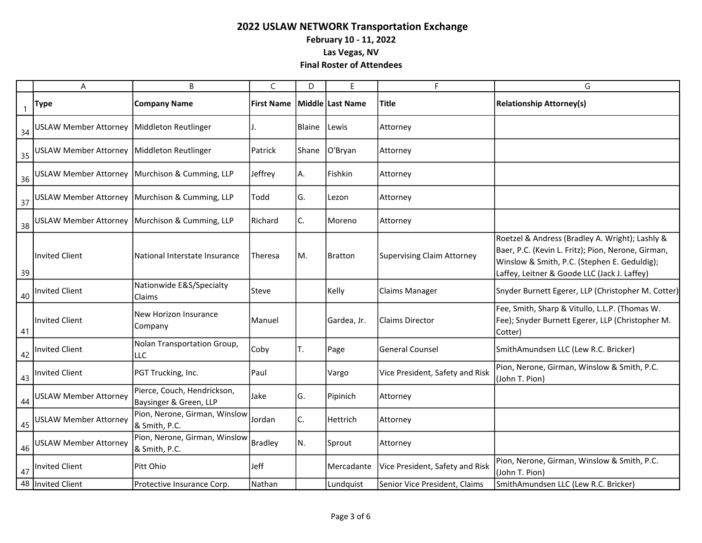|                | Α                                            | B                                                     | C                 | D      | E                | F                                 | G                                                                                                                                                                                                     |
|----------------|----------------------------------------------|-------------------------------------------------------|-------------------|--------|------------------|-----------------------------------|-------------------------------------------------------------------------------------------------------------------------------------------------------------------------------------------------------|
| $\overline{1}$ | <b>Type</b>                                  | <b>Company Name</b>                                   | <b>First Name</b> |        | Middle Last Name | <b>Title</b>                      | <b>Relationship Attorney(s)</b>                                                                                                                                                                       |
| 34             | USLAW Member Attorney   Middleton Reutlinger |                                                       |                   | Blaine | Lewis            | Attorney                          |                                                                                                                                                                                                       |
| 35             | USLAW Member Attorney   Middleton Reutlinger |                                                       | Patrick           | Shane  | O'Bryan          | Attorney                          |                                                                                                                                                                                                       |
| 36             |                                              | USLAW Member Attorney   Murchison & Cumming, LLP      | Jeffrey           | A.     | Fishkin          | Attorney                          |                                                                                                                                                                                                       |
| 37             |                                              | USLAW Member Attorney   Murchison & Cumming, LLP      | Todd              | G.     | Lezon            | Attorney                          |                                                                                                                                                                                                       |
| 38             |                                              | USLAW Member Attorney   Murchison & Cumming, LLP      | Richard           | C.     | Moreno           | Attorney                          |                                                                                                                                                                                                       |
| -39            | <b>Invited Client</b>                        | National Interstate Insurance                         | Theresa           | MM.    | <b>Bratton</b>   | <b>Supervising Claim Attorney</b> | Roetzel & Andress (Bradley A. Wright); Lashly &<br>Baer, P.C. (Kevin L. Fritz); Pion, Nerone, Girman,<br>Winslow & Smith, P.C. (Stephen E. Geduldig);<br>Laffey, Leitner & Goode LLC (Jack J. Laffey) |
| 40             | Invited Client                               | Nationwide E&S/Specialty<br>Claims                    | Steve             |        | Kelly            | <b>Claims Manager</b>             | Snyder Burnett Egerer, LLP (Christopher M. Cotter)                                                                                                                                                    |
| 41             | <b>Invited Client</b>                        | New Horizon Insurance<br>Company                      | Manuel            |        | Gardea, Jr.      | <b>Claims Director</b>            | Fee, Smith, Sharp & Vitullo, L.L.P. (Thomas W.<br>Fee); Snyder Burnett Egerer, LLP (Christopher M.<br>Cotter)                                                                                         |
|                | 42   Invited Client                          | Nolan Transportation Group,<br><b>LLC</b>             | Coby              | T.     | Page             | <b>General Counsel</b>            | SmithAmundsen LLC (Lew R.C. Bricker)                                                                                                                                                                  |
| 43             | Invited Client                               | PGT Trucking, Inc.                                    | Paul              |        | Vargo            | Vice President, Safety and Risk   | Pion, Nerone, Girman, Winslow & Smith, P.C.<br>(John T. Pion)                                                                                                                                         |
| 44             | <b>USLAW Member Attorney</b>                 | Pierce, Couch, Hendrickson,<br>Baysinger & Green, LLP | Jake              | G.     | Pipinich         | Attorney                          |                                                                                                                                                                                                       |
| 45             | <b>USLAW Member Attorney</b>                 | Pion, Nerone, Girman, Winslow<br>& Smith, P.C.        | Jordan            | C.     | Hettrich         | Attorney                          |                                                                                                                                                                                                       |
| 46             | <b>USLAW Member Attorney</b>                 | Pion, Nerone, Girman, Winslow<br>& Smith, P.C.        | <b>Bradley</b>    | M.     | Sprout           | Attorney                          |                                                                                                                                                                                                       |
|                | 47   Invited Client                          | Pitt Ohio                                             | Jeff              |        | Mercadante       | Vice President, Safety and Risk   | Pion, Nerone, Girman, Winslow & Smith, P.C.<br>(John T. Pion)                                                                                                                                         |
|                | 48 Invited Client                            | Protective Insurance Corp.                            | Nathan            |        | Lundquist        | Senior Vice President, Claims     | SmithAmundsen LLC (Lew R.C. Bricker)                                                                                                                                                                  |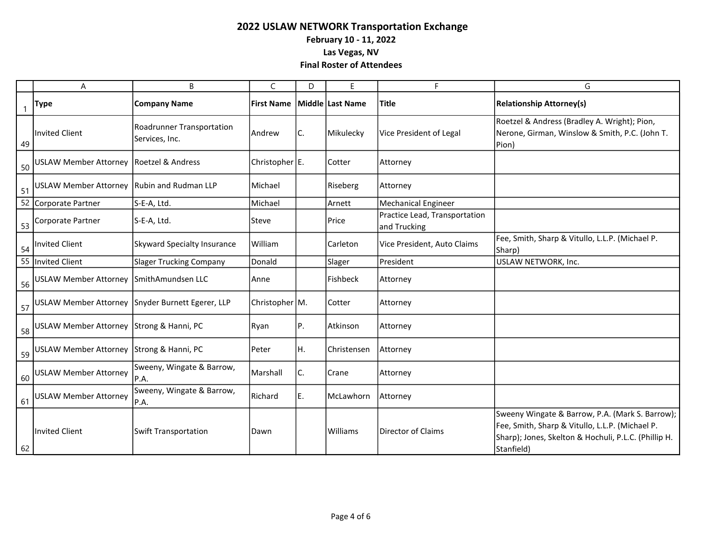|    | Α                                          | B                                                | C                 | D   | E                | F                                             | G                                                                                                                                                                        |
|----|--------------------------------------------|--------------------------------------------------|-------------------|-----|------------------|-----------------------------------------------|--------------------------------------------------------------------------------------------------------------------------------------------------------------------------|
|    | <b>Type</b>                                | <b>Company Name</b>                              | <b>First Name</b> |     | Middle Last Name | <b>Title</b>                                  | <b>Relationship Attorney(s)</b>                                                                                                                                          |
| 49 | <b>Invited Client</b>                      | Roadrunner Transportation<br>Services, Inc.      | Andrew            | IC. | Mikulecky        | Vice President of Legal                       | Roetzel & Andress (Bradley A. Wright); Pion,<br>Nerone, Girman, Winslow & Smith, P.C. (John T.<br>Pion)                                                                  |
| 50 | <b>USLAW Member Attorney</b>               | Roetzel & Andress                                | Christopher $E$ . |     | Cotter           | Attorney                                      |                                                                                                                                                                          |
| 51 | USLAW Member Attorney Rubin and Rudman LLP |                                                  | Michael           |     | Riseberg         | Attorney                                      |                                                                                                                                                                          |
| 52 | Corporate Partner                          | S-E-A, Ltd.                                      | Michael           |     | Arnett           | <b>Mechanical Engineer</b>                    |                                                                                                                                                                          |
| 53 | Corporate Partner                          | S-E-A, Ltd.                                      | Steve             |     | Price            | Practice Lead, Transportation<br>and Trucking |                                                                                                                                                                          |
| 54 | <b>Invited Client</b>                      | <b>Skyward Specialty Insurance</b>               | William           |     | Carleton         | Vice President, Auto Claims                   | Fee, Smith, Sharp & Vitullo, L.L.P. (Michael P.<br>Sharp)                                                                                                                |
| 55 | <b>Invited Client</b>                      | <b>Slager Trucking Company</b>                   | Donald            |     | Slager           | President                                     | USLAW NETWORK, Inc.                                                                                                                                                      |
| 56 | USLAW Member Attorney SmithAmundsen LLC    |                                                  | Anne              |     | Fishbeck         | Attorney                                      |                                                                                                                                                                          |
| 57 |                                            | USLAW Member Attorney Snyder Burnett Egerer, LLP | Christopher   M.  |     | Cotter           | Attorney                                      |                                                                                                                                                                          |
| 58 | USLAW Member Attorney Strong & Hanni, PC   |                                                  | Ryan              | P.  | Atkinson         | Attorney                                      |                                                                                                                                                                          |
| 59 | USLAW Member Attorney Strong & Hanni, PC   |                                                  | Peter             | IH. | Christensen      | Attorney                                      |                                                                                                                                                                          |
| 60 | <b>USLAW Member Attorney</b>               | Sweeny, Wingate & Barrow,<br>P.A.                | Marshall          | C.  | Crane            | Attorney                                      |                                                                                                                                                                          |
| 61 | <b>USLAW Member Attorney</b>               | Sweeny, Wingate & Barrow,<br>P.A.                | Richard           | E.  | McLawhorn        | Attorney                                      |                                                                                                                                                                          |
| 62 | <b>Invited Client</b>                      | Swift Transportation                             | Dawn              |     | Williams         | <b>Director of Claims</b>                     | Sweeny Wingate & Barrow, P.A. (Mark S. Barrow);<br>Fee, Smith, Sharp & Vitullo, L.L.P. (Michael P.<br>Sharp); Jones, Skelton & Hochuli, P.L.C. (Phillip H.<br>Stanfield) |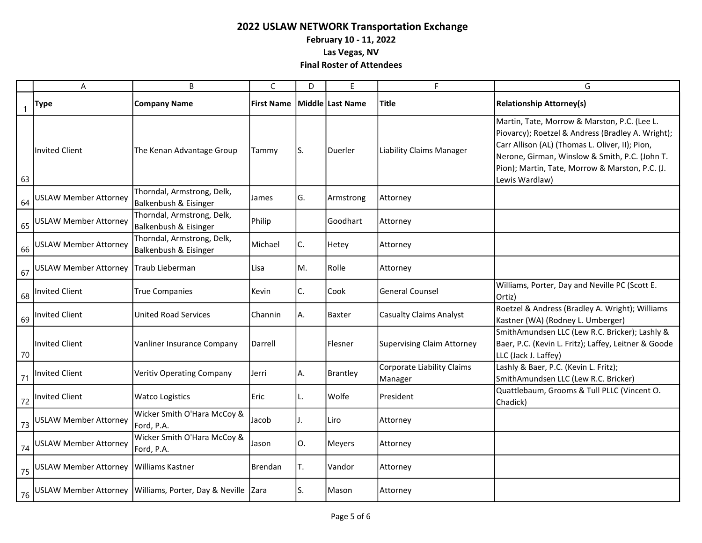|    | A                                        | B                                                              | C                 | D   | E                | F.                                    | G                                                                                                                                                                                                                                                                           |
|----|------------------------------------------|----------------------------------------------------------------|-------------------|-----|------------------|---------------------------------------|-----------------------------------------------------------------------------------------------------------------------------------------------------------------------------------------------------------------------------------------------------------------------------|
| -1 | <b>Type</b>                              | <b>Company Name</b>                                            | <b>First Name</b> |     | Middle Last Name | <b>Title</b>                          | <b>Relationship Attorney(s)</b>                                                                                                                                                                                                                                             |
| 63 | <b>Invited Client</b>                    | The Kenan Advantage Group                                      | Tammy             | IS. | Duerler          | <b>Liability Claims Manager</b>       | Martin, Tate, Morrow & Marston, P.C. (Lee L.<br>Piovarcy); Roetzel & Andress (Bradley A. Wright);<br>Carr Allison (AL) (Thomas L. Oliver, II); Pion,<br>Nerone, Girman, Winslow & Smith, P.C. (John T.<br>Pion); Martin, Tate, Morrow & Marston, P.C. (J.<br>Lewis Wardlaw) |
| 64 | <b>USLAW Member Attorney</b>             | Thorndal, Armstrong, Delk,<br>Balkenbush & Eisinger            | James             | G.  | Armstrong        | Attorney                              |                                                                                                                                                                                                                                                                             |
| 65 | <b>USLAW Member Attorney</b>             | Thorndal, Armstrong, Delk,<br>Balkenbush & Eisinger            | Philip            |     | Goodhart         | Attorney                              |                                                                                                                                                                                                                                                                             |
| 66 | <b>USLAW Member Attorney</b>             | Thorndal, Armstrong, Delk,<br>Balkenbush & Eisinger            | Michael           | C.  | Hetey            | Attorney                              |                                                                                                                                                                                                                                                                             |
| 67 | <b>USLAW Member Attorney</b>             | Traub Lieberman                                                | Lisa              | M.  | Rolle            | Attorney                              |                                                                                                                                                                                                                                                                             |
| 68 | <b>Invited Client</b>                    | <b>True Companies</b>                                          | Kevin             | C.  | Cook             | <b>General Counsel</b>                | Williams, Porter, Day and Neville PC (Scott E.<br>Ortiz)                                                                                                                                                                                                                    |
| 69 | <b>Invited Client</b>                    | United Road Services                                           | Channin           | IA. | <b>Baxter</b>    | <b>Casualty Claims Analyst</b>        | Roetzel & Andress (Bradley A. Wright); Williams<br>Kastner (WA) (Rodney L. Umberger)                                                                                                                                                                                        |
| 70 | <b>Invited Client</b>                    | Vanliner Insurance Company                                     | Darrell           |     | Flesner          | <b>Supervising Claim Attorney</b>     | SmithAmundsen LLC (Lew R.C. Bricker); Lashly &<br>Baer, P.C. (Kevin L. Fritz); Laffey, Leitner & Goode<br>LLC (Jack J. Laffey)                                                                                                                                              |
| 71 | <b>Invited Client</b>                    | Veritiv Operating Company                                      | Jerri             | IA. | Brantley         | Corporate Liability Claims<br>Manager | Lashly & Baer, P.C. (Kevin L. Fritz);<br>SmithAmundsen LLC (Lew R.C. Bricker)                                                                                                                                                                                               |
| 72 | <b>Invited Client</b>                    | <b>Watco Logistics</b>                                         | Eric              | IL. | Wolfe            | President                             | Quattlebaum, Grooms & Tull PLLC (Vincent O.<br>Chadick)                                                                                                                                                                                                                     |
| 73 | <b>USLAW Member Attorney</b>             | Wicker Smith O'Hara McCoy &<br>Ford, P.A.                      | Jacob             | IJ. | Liro             | Attorney                              |                                                                                                                                                                                                                                                                             |
| 74 | <b>USLAW Member Attorney</b>             | Wicker Smith O'Hara McCoy &<br>Ford, P.A.                      | Jason             | l0. | Meyers           | Attorney                              |                                                                                                                                                                                                                                                                             |
| 75 | USLAW Member Attorney   Williams Kastner |                                                                | Brendan           | T.  | Vandor           | Attorney                              |                                                                                                                                                                                                                                                                             |
| 76 |                                          | USLAW Member Attorney   Williams, Porter, Day & Neville   Zara |                   | IS. | Mason            | Attorney                              |                                                                                                                                                                                                                                                                             |